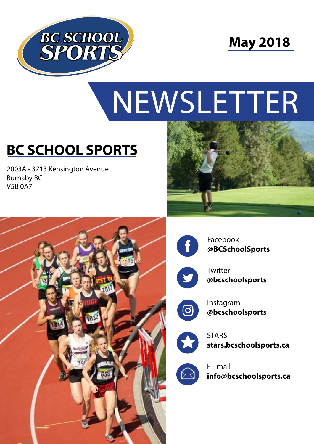



# NEWSLETTER

# **BC SCHOOL SPORTS**

2003A - 3713 Kensington Avenue Burnaby BC V5B 0A7







Facebook **@BCSchoolSports**



**Twitter @bcschoolsports**



Instagram **@bcschoolsports**



**STARS stars.bcschoolsports.ca**



E - mail **info@bcschoolsports.ca**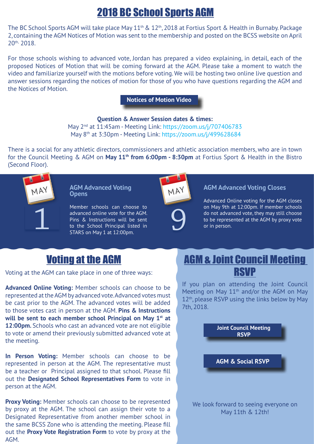### 2018 BC School Sports AGM

The BC School Sports AGM will take place May 11<sup>th</sup> & 12<sup>th</sup>, 2018 at Fortius Sport & Health in Burnaby. Package 2, containing the AGM Notices of Motion was sent to the membership and posted on the BCSS website on April 20<sup>th,</sup> 2018.

For those schools wishing to advanced vote, Jordan has prepared a video explaining, in detail, each of the proposed Notices of Motion that will be coming forward at the AGM. Please take a moment to watch the video and familiarize yourself with the motions before voting. We will be hosting two online live question and answer sessions regarding the notices of motion for those of you who have questions regarding the AGM and the Notices of Motion.

**[Notices of Motion Video](http://www.bcschoolsports.ca/news/2018-agm-package-2)**

#### **Question & Answer Session dates & times:** May 2<sup>nd</sup> at 11:45am - Meeting Link: [https://zoom.us/j/707406783](https://zoom.us/j/707406783%20) May 8th at 3:30pm - Meeting Link: <https://zoom.us/j/499628684>

There is a social for any athletic directors, commissioners and athletic association members, who are in town for the Council Meeting & AGM on **May 11th from 6:00pm - 8:30pm** at Fortius Sport & Health in the Bistro (Second Floor).



**AGM Advanced Voting Opens**

Member schools can choose to advanced online vote for the AGM. Pins & Instructions will be sent to the School Principal listed in STARS on May 1 at 12:00pm. Member schools can choose to<br>advanced online vote for the AGM.<br>Pins & Instructions will be sent<br>to the School Principal listed in<br>STARS on May 1 at 12:00pm.





#### may **AGM Advanced Voting Closes**

Advanced Online voting for the AGM closes on May 9th at 12:00pm. If member schools do not advanced vote, they may still choose to be represented at the AGM by proxy vote or in person.

Voting at the AGM can take place in one of three ways:

**Advanced Online Voting:** Member schools can choose to be represented at the AGM by advanced vote. Advanced votes must be cast prior to the AGM. The advanced votes will be added to those votes cast in person at the AGM. **Pins & Instructions**  will be sent to each member school Principal on May 1<sup>st</sup> at **12:00pm.** Schools who cast an advanced vote are not eligible to vote or amend their previously submitted advanced vote at the meeting.

**In Person Voting:** Member schools can choose to be represented in person at the AGM. The representative must be a teacher or Principal assigned to that school. Please fill out the **Designated School Representatives Form** to vote in person at the AGM.

**Proxy Voting:** Member schools can choose to be represented by proxy at the AGM. The school can assign their vote to a Designated Representative from another member school in the same BCSS Zone who is attending the meeting. Please fill out the **Proxy Vote Registration Form** to vote by proxy at the AGM.

#### **Voting at the AGM COUNCIL MEET AGM & Joint Council Meeting** RSVP

If you plan on attending the Joint Council Meeting on May 11th and/or the AGM on May  $12<sup>th</sup>$ , please RSVP using the links below by May 7th, 2018.



We look forward to seeing everyone on May 11th & 12th!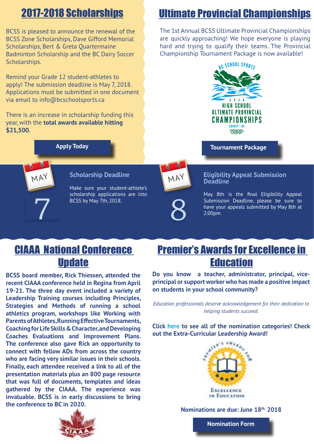## 2017-2018 Scholarships

BCSS is pleased to announce the renewal of the BCSS Zone Scholarships, Dave Gifford Memorial Scholarships, Bert & Greta Quartermaine Badminton Scholarship and the BC Dairy Soccer Scholarships.

Remind your Grade 12 student-athletes to apply! The submission deadline is May 7, 2018. Applications must be submitted in one document via email to info@bcschoolsports.ca

There is an increase in scholarship funding this year, with the **total awards available hitting \$21,500.**

**[Apply Today](http://www.bcschoolsports.ca/awards/scholarships)**

May

**Scholarship Deadline**

Make sure your student-athlete's scholarship applications are into

BCSS by May 7th, 2018.

### Ultimate Provincial Championships

The 1st Annual BCSS Ultimate Provincial Championships are quickly approaching! We hope everyone is playing hard and trying to qualify their teams. The Provincial Championship Tournament Package is now available!



**[Tournament Package](http://www.bcschoolsports.ca/commissions/ultimate)**

#### May **Eligibility Appeal Submission Deadline**

May 8th is the final Eligibility Appeal Submission Deadline, please be sure to have your appeals submitted by May 8th at 2:00pm.

#### CIAAA National Conference **Update**

**BCSS board member, Rick Thiessen, attended the recent CIAAA conference held in Regina from April 19-21. The three day event included a variety of Leadership Training courses including Principles, Strategies and Methods of running a school athletics program, workshops like Working with Parents of Athletes, Running Effective Tournaments, Coaching for Life Skills & Character, and Developing Coaches Evaluations and Improvement Plans. The conference also gave Rick an opportunity to connect with fellow ADs from across the country who are facing very similar issues in their schools. Finally, each attendee received a link to all of the presentation materials plus an 800 page resource that was full of documents, templates and ideas gathered by the CIAAA. The experience was invaluable. BCSS is in early discussions to bring the conference to BC in 2020.**



**Do you know a teacher, administrator, principal, viceprincipal or support worker who has made a positive impact on students in your school community?**

*Education professionals deserve acknowledgement for their dedication to helping students succeed.*

**Click [here](https://www2.gov.bc.ca/gov/content/education-training/k-12/teach/excellence-in-education) to see all of the nomination categories! Check out the Extra-Curricular Leadership Award!**



**Nominations are due: June 18th, 2018**

**[Nomination Form](https://forms.gov.bc.ca/education-training/excellence-education-nomination-form/)**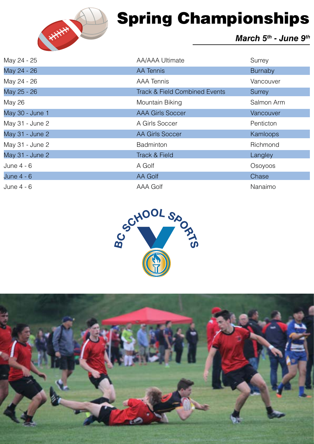

# Spring Championships

#### *March 5th - June 9th*

| May 24 - 25     | AA/AAA Ultimate                          | Surrey     |
|-----------------|------------------------------------------|------------|
| May 24 - 26     | <b>AA Tennis</b>                         | Burnaby    |
| May 24 - 26     | <b>AAA Tennis</b>                        | Vancouver  |
| May 25 - 26     | <b>Track &amp; Field Combined Events</b> | Surrey     |
| <b>May 26</b>   | Mountain Biking                          | Salmon Arm |
| May 30 - June 1 | <b>AAA Girls Soccer</b>                  | Vancouver  |
| May 31 - June 2 | A Girls Soccer                           | Penticton  |
| May 31 - June 2 | <b>AA Girls Soccer</b>                   | Kamloops   |
| May 31 - June 2 | <b>Badminton</b>                         | Richmond   |
| May 31 - June 2 | Track & Field                            | Langley    |
| June $4 - 6$    | A Golf                                   | Osoyoos    |
| June 4 - 6      | AA Golf                                  | Chase      |
| June 4 - 6      | AAA Golf                                 | Nanaimo    |